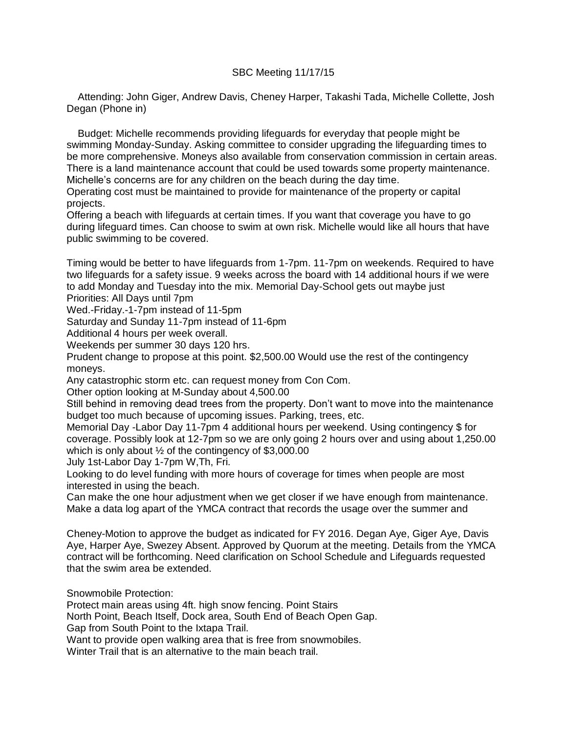## SBC Meeting 11/17/15

 Attending: John Giger, Andrew Davis, Cheney Harper, Takashi Tada, Michelle Collette, Josh Degan (Phone in)

 Budget: Michelle recommends providing lifeguards for everyday that people might be swimming Monday-Sunday. Asking committee to consider upgrading the lifeguarding times to be more comprehensive. Moneys also available from conservation commission in certain areas. There is a land maintenance account that could be used towards some property maintenance. Michelle's concerns are for any children on the beach during the day time.

Operating cost must be maintained to provide for maintenance of the property or capital projects.

Offering a beach with lifeguards at certain times. If you want that coverage you have to go during lifeguard times. Can choose to swim at own risk. Michelle would like all hours that have public swimming to be covered.

Timing would be better to have lifeguards from 1-7pm. 11-7pm on weekends. Required to have two lifeguards for a safety issue. 9 weeks across the board with 14 additional hours if we were to add Monday and Tuesday into the mix. Memorial Day-School gets out maybe just Priorities: All Days until 7pm

Wed.-Friday.-1-7pm instead of 11-5pm

Saturday and Sunday 11-7pm instead of 11-6pm

Additional 4 hours per week overall.

Weekends per summer 30 days 120 hrs.

Prudent change to propose at this point. \$2,500.00 Would use the rest of the contingency moneys.

Any catastrophic storm etc. can request money from Con Com.

Other option looking at M-Sunday about 4,500.00

Still behind in removing dead trees from the property. Don't want to move into the maintenance budget too much because of upcoming issues. Parking, trees, etc.

Memorial Day -Labor Day 11-7pm 4 additional hours per weekend. Using contingency \$ for coverage. Possibly look at 12-7pm so we are only going 2 hours over and using about 1,250.00 which is only about  $\frac{1}{2}$  of the contingency of \$3,000.00

July 1st-Labor Day 1-7pm W,Th, Fri.

Looking to do level funding with more hours of coverage for times when people are most interested in using the beach.

Can make the one hour adjustment when we get closer if we have enough from maintenance. Make a data log apart of the YMCA contract that records the usage over the summer and

Cheney-Motion to approve the budget as indicated for FY 2016. Degan Aye, Giger Aye, Davis Aye, Harper Aye, Swezey Absent. Approved by Quorum at the meeting. Details from the YMCA contract will be forthcoming. Need clarification on School Schedule and Lifeguards requested that the swim area be extended.

Snowmobile Protection:

Protect main areas using 4ft. high snow fencing. Point Stairs

North Point, Beach Itself, Dock area, South End of Beach Open Gap.

Gap from South Point to the Ixtapa Trail.

Want to provide open walking area that is free from snowmobiles.

Winter Trail that is an alternative to the main beach trail.